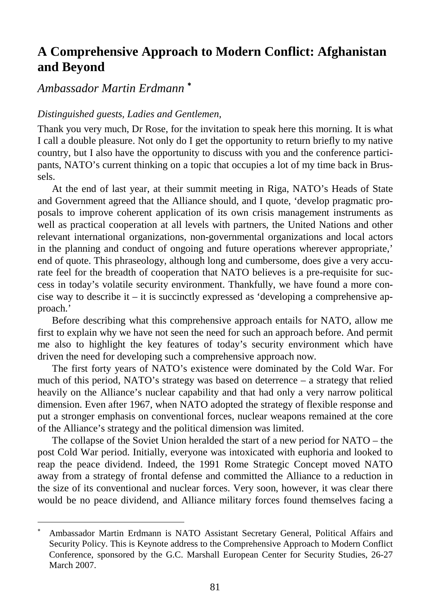## **A Comprehensive Approach to Modern Conflict: Afghanistan and Beyond**

# *Ambassador Martin Erdmann* <sup>∗</sup>

l

### *Distinguished guests, Ladies and Gentlemen,*

Thank you very much, Dr Rose, for the invitation to speak here this morning. It is what I call a double pleasure. Not only do I get the opportunity to return briefly to my native country, but I also have the opportunity to discuss with you and the conference participants, NATO's current thinking on a topic that occupies a lot of my time back in Brussels.

At the end of last year, at their summit meeting in Riga, NATO's Heads of State and Government agreed that the Alliance should, and I quote, 'develop pragmatic proposals to improve coherent application of its own crisis management instruments as well as practical cooperation at all levels with partners, the United Nations and other relevant international organizations, non-governmental organizations and local actors in the planning and conduct of ongoing and future operations wherever appropriate,' end of quote. This phraseology, although long and cumbersome, does give a very accurate feel for the breadth of cooperation that NATO believes is a pre-requisite for success in today's volatile security environment. Thankfully, we have found a more concise way to describe it – it is succinctly expressed as 'developing a comprehensive approach.'

Before describing what this comprehensive approach entails for NATO, allow me first to explain why we have not seen the need for such an approach before. And permit me also to highlight the key features of today's security environment which have driven the need for developing such a comprehensive approach now.

The first forty years of NATO's existence were dominated by the Cold War. For much of this period, NATO's strategy was based on deterrence – a strategy that relied heavily on the Alliance's nuclear capability and that had only a very narrow political dimension. Even after 1967, when NATO adopted the strategy of flexible response and put a stronger emphasis on conventional forces, nuclear weapons remained at the core of the Alliance's strategy and the political dimension was limited.

The collapse of the Soviet Union heralded the start of a new period for NATO – the post Cold War period. Initially, everyone was intoxicated with euphoria and looked to reap the peace dividend. Indeed, the 1991 Rome Strategic Concept moved NATO away from a strategy of frontal defense and committed the Alliance to a reduction in the size of its conventional and nuclear forces. Very soon, however, it was clear there would be no peace dividend, and Alliance military forces found themselves facing a

<sup>∗</sup> Ambassador Martin Erdmann is NATO Assistant Secretary General, Political Affairs and Security Policy. This is Keynote address to the Comprehensive Approach to Modern Conflict Conference, sponsored by the G.C. Marshall European Center for Security Studies, 26-27 March 2007.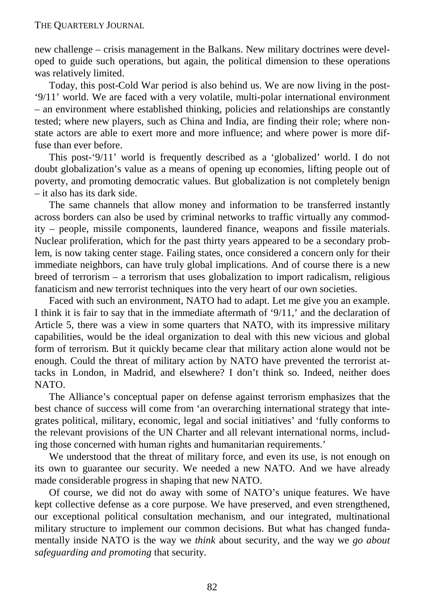new challenge – crisis management in the Balkans. New military doctrines were developed to guide such operations, but again, the political dimension to these operations was relatively limited.

Today, this post-Cold War period is also behind us. We are now living in the post- '9/11' world. We are faced with a very volatile, multi-polar international environment – an environment where established thinking, policies and relationships are constantly tested; where new players, such as China and India, are finding their role; where nonstate actors are able to exert more and more influence; and where power is more diffuse than ever before.

This post-'9/11' world is frequently described as a 'globalized' world. I do not doubt globalization's value as a means of opening up economies, lifting people out of poverty, and promoting democratic values. But globalization is not completely benign – it also has its dark side.

The same channels that allow money and information to be transferred instantly across borders can also be used by criminal networks to traffic virtually any commodity – people, missile components, laundered finance, weapons and fissile materials. Nuclear proliferation, which for the past thirty years appeared to be a secondary problem, is now taking center stage. Failing states, once considered a concern only for their immediate neighbors, can have truly global implications. And of course there is a new breed of terrorism – a terrorism that uses globalization to import radicalism, religious fanaticism and new terrorist techniques into the very heart of our own societies.

Faced with such an environment, NATO had to adapt. Let me give you an example. I think it is fair to say that in the immediate aftermath of '9/11,' and the declaration of Article 5, there was a view in some quarters that NATO, with its impressive military capabilities, would be the ideal organization to deal with this new vicious and global form of terrorism. But it quickly became clear that military action alone would not be enough. Could the threat of military action by NATO have prevented the terrorist attacks in London, in Madrid, and elsewhere? I don't think so. Indeed, neither does NATO.

The Alliance's conceptual paper on defense against terrorism emphasizes that the best chance of success will come from 'an overarching international strategy that integrates political, military, economic, legal and social initiatives' and 'fully conforms to the relevant provisions of the UN Charter and all relevant international norms, including those concerned with human rights and humanitarian requirements.'

We understood that the threat of military force, and even its use, is not enough on its own to guarantee our security. We needed a new NATO. And we have already made considerable progress in shaping that new NATO.

Of course, we did not do away with some of NATO's unique features. We have kept collective defense as a core purpose. We have preserved, and even strengthened, our exceptional political consultation mechanism, and our integrated, multinational military structure to implement our common decisions. But what has changed fundamentally inside NATO is the way we *think* about security, and the way we *go about safeguarding and promoting* that security.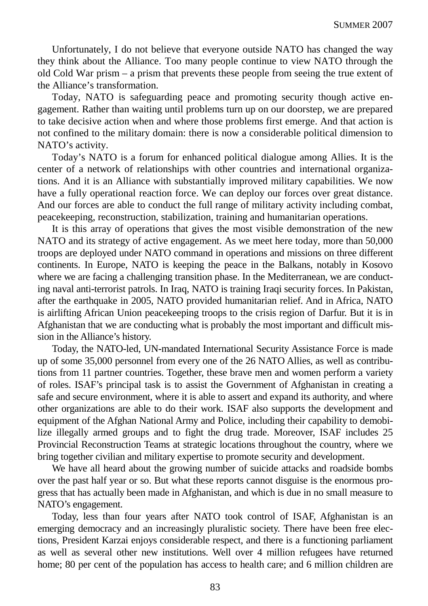Unfortunately, I do not believe that everyone outside NATO has changed the way they think about the Alliance. Too many people continue to view NATO through the old Cold War prism – a prism that prevents these people from seeing the true extent of the Alliance's transformation.

Today, NATO is safeguarding peace and promoting security though active engagement. Rather than waiting until problems turn up on our doorstep, we are prepared to take decisive action when and where those problems first emerge. And that action is not confined to the military domain: there is now a considerable political dimension to NATO's activity.

Today's NATO is a forum for enhanced political dialogue among Allies. It is the center of a network of relationships with other countries and international organizations. And it is an Alliance with substantially improved military capabilities. We now have a fully operational reaction force. We can deploy our forces over great distance. And our forces are able to conduct the full range of military activity including combat, peacekeeping, reconstruction, stabilization, training and humanitarian operations.

It is this array of operations that gives the most visible demonstration of the new NATO and its strategy of active engagement. As we meet here today, more than 50,000 troops are deployed under NATO command in operations and missions on three different continents. In Europe, NATO is keeping the peace in the Balkans, notably in Kosovo where we are facing a challenging transition phase. In the Mediterranean, we are conducting naval anti-terrorist patrols. In Iraq, NATO is training Iraqi security forces. In Pakistan, after the earthquake in 2005, NATO provided humanitarian relief. And in Africa, NATO is airlifting African Union peacekeeping troops to the crisis region of Darfur. But it is in Afghanistan that we are conducting what is probably the most important and difficult mission in the Alliance's history.

Today, the NATO-led, UN-mandated International Security Assistance Force is made up of some 35,000 personnel from every one of the 26 NATO Allies, as well as contributions from 11 partner countries. Together, these brave men and women perform a variety of roles. ISAF's principal task is to assist the Government of Afghanistan in creating a safe and secure environment, where it is able to assert and expand its authority, and where other organizations are able to do their work. ISAF also supports the development and equipment of the Afghan National Army and Police, including their capability to demobilize illegally armed groups and to fight the drug trade. Moreover, ISAF includes 25 Provincial Reconstruction Teams at strategic locations throughout the country, where we bring together civilian and military expertise to promote security and development.

We have all heard about the growing number of suicide attacks and roadside bombs over the past half year or so. But what these reports cannot disguise is the enormous progress that has actually been made in Afghanistan, and which is due in no small measure to NATO's engagement.

Today, less than four years after NATO took control of ISAF, Afghanistan is an emerging democracy and an increasingly pluralistic society. There have been free elections, President Karzai enjoys considerable respect, and there is a functioning parliament as well as several other new institutions. Well over 4 million refugees have returned home; 80 per cent of the population has access to health care; and 6 million children are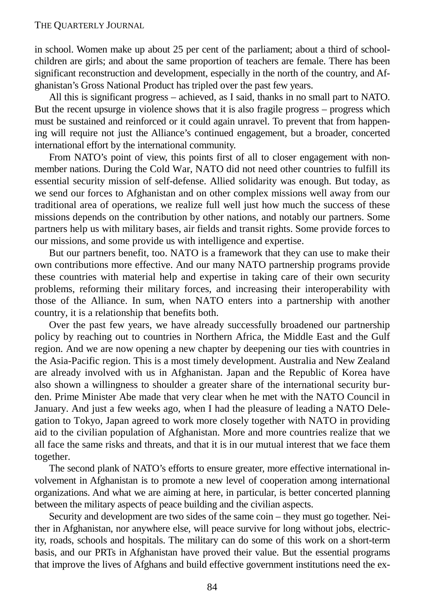#### THE QUARTERLY JOURNAL

in school. Women make up about 25 per cent of the parliament; about a third of schoolchildren are girls; and about the same proportion of teachers are female. There has been significant reconstruction and development, especially in the north of the country, and Afghanistan's Gross National Product has tripled over the past few years.

All this is significant progress – achieved, as I said, thanks in no small part to NATO. But the recent upsurge in violence shows that it is also fragile progress – progress which must be sustained and reinforced or it could again unravel. To prevent that from happening will require not just the Alliance's continued engagement, but a broader, concerted international effort by the international community.

From NATO's point of view, this points first of all to closer engagement with nonmember nations. During the Cold War, NATO did not need other countries to fulfill its essential security mission of self-defense. Allied solidarity was enough. But today, as we send our forces to Afghanistan and on other complex missions well away from our traditional area of operations, we realize full well just how much the success of these missions depends on the contribution by other nations, and notably our partners. Some partners help us with military bases, air fields and transit rights. Some provide forces to our missions, and some provide us with intelligence and expertise.

But our partners benefit, too. NATO is a framework that they can use to make their own contributions more effective. And our many NATO partnership programs provide these countries with material help and expertise in taking care of their own security problems, reforming their military forces, and increasing their interoperability with those of the Alliance. In sum, when NATO enters into a partnership with another country, it is a relationship that benefits both.

Over the past few years, we have already successfully broadened our partnership policy by reaching out to countries in Northern Africa, the Middle East and the Gulf region. And we are now opening a new chapter by deepening our ties with countries in the Asia-Pacific region. This is a most timely development. Australia and New Zealand are already involved with us in Afghanistan. Japan and the Republic of Korea have also shown a willingness to shoulder a greater share of the international security burden. Prime Minister Abe made that very clear when he met with the NATO Council in January. And just a few weeks ago, when I had the pleasure of leading a NATO Delegation to Tokyo, Japan agreed to work more closely together with NATO in providing aid to the civilian population of Afghanistan. More and more countries realize that we all face the same risks and threats, and that it is in our mutual interest that we face them together.

The second plank of NATO's efforts to ensure greater, more effective international involvement in Afghanistan is to promote a new level of cooperation among international organizations. And what we are aiming at here, in particular, is better concerted planning between the military aspects of peace building and the civilian aspects.

Security and development are two sides of the same coin – they must go together. Neither in Afghanistan, nor anywhere else, will peace survive for long without jobs, electricity, roads, schools and hospitals. The military can do some of this work on a short-term basis, and our PRTs in Afghanistan have proved their value. But the essential programs that improve the lives of Afghans and build effective government institutions need the ex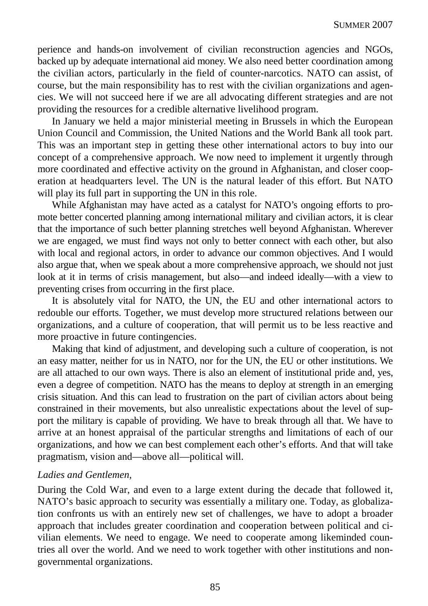perience and hands-on involvement of civilian reconstruction agencies and NGOs, backed up by adequate international aid money. We also need better coordination among the civilian actors, particularly in the field of counter-narcotics. NATO can assist, of course, but the main responsibility has to rest with the civilian organizations and agencies. We will not succeed here if we are all advocating different strategies and are not providing the resources for a credible alternative livelihood program.

In January we held a major ministerial meeting in Brussels in which the European Union Council and Commission, the United Nations and the World Bank all took part. This was an important step in getting these other international actors to buy into our concept of a comprehensive approach. We now need to implement it urgently through more coordinated and effective activity on the ground in Afghanistan, and closer cooperation at headquarters level. The UN is the natural leader of this effort. But NATO will play its full part in supporting the UN in this role.

While Afghanistan may have acted as a catalyst for NATO's ongoing efforts to promote better concerted planning among international military and civilian actors, it is clear that the importance of such better planning stretches well beyond Afghanistan. Wherever we are engaged, we must find ways not only to better connect with each other, but also with local and regional actors, in order to advance our common objectives. And I would also argue that, when we speak about a more comprehensive approach, we should not just look at it in terms of crisis management, but also—and indeed ideally—with a view to preventing crises from occurring in the first place.

It is absolutely vital for NATO, the UN, the EU and other international actors to redouble our efforts. Together, we must develop more structured relations between our organizations, and a culture of cooperation, that will permit us to be less reactive and more proactive in future contingencies.

Making that kind of adjustment, and developing such a culture of cooperation, is not an easy matter, neither for us in NATO, nor for the UN, the EU or other institutions. We are all attached to our own ways. There is also an element of institutional pride and, yes, even a degree of competition. NATO has the means to deploy at strength in an emerging crisis situation. And this can lead to frustration on the part of civilian actors about being constrained in their movements, but also unrealistic expectations about the level of support the military is capable of providing. We have to break through all that. We have to arrive at an honest appraisal of the particular strengths and limitations of each of our organizations, and how we can best complement each other's efforts. And that will take pragmatism, vision and—above all—political will.

### *Ladies and Gentlemen,*

During the Cold War, and even to a large extent during the decade that followed it, NATO's basic approach to security was essentially a military one. Today, as globalization confronts us with an entirely new set of challenges, we have to adopt a broader approach that includes greater coordination and cooperation between political and civilian elements. We need to engage. We need to cooperate among likeminded countries all over the world. And we need to work together with other institutions and nongovernmental organizations.